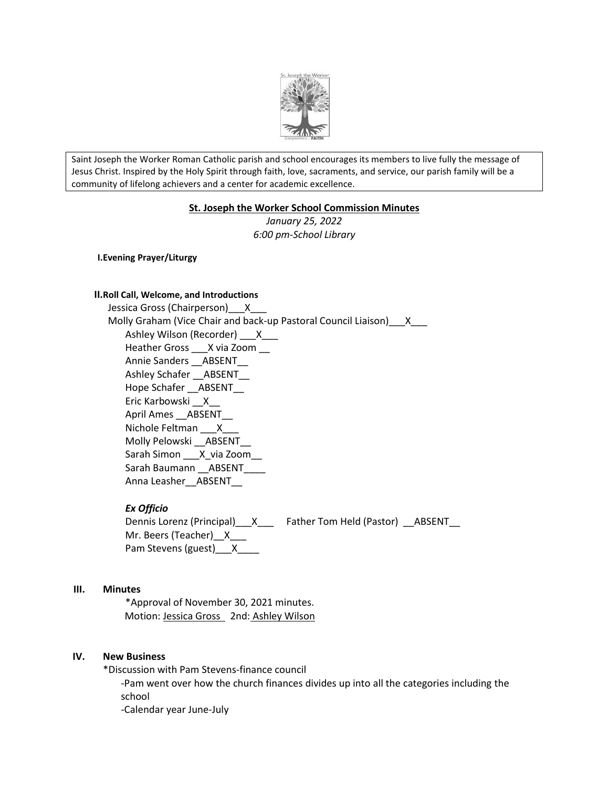

Saint Joseph the Worker Roman Catholic parish and school encourages its members to live fully the message of Jesus Christ. Inspired by the Holy Spirit through faith, love, sacraments, and service, our parish family will be a community of lifelong achievers and a center for academic excellence.

#### **St. Joseph the Worker School Commission Minutes**

*January 25, 2022 6:00 pm-School Library*

**I.Evening Prayer/Liturgy**

#### **II.Roll Call, Welcome, and Introductions**

Jessica Gross (Chairperson) X Molly Graham (Vice Chair and back-up Pastoral Council Liaison) X Ashley Wilson (Recorder) \_\_\_X\_\_\_ Heather Gross \_\_\_X via Zoom \_\_ Annie Sanders \_\_ABSENT\_\_ Ashley Schafer \_\_\_\_ABSENT Hope Schafer \_\_ ABSENT\_\_\_ Eric Karbowski \_\_X\_\_ April Ames \_\_ ABSENT Nichole Feltman X Molly Pelowski \_\_ABSENT\_\_ Sarah Simon \_\_\_ X\_via Zoom\_\_\_ Sarah Baumann \_\_\_ ABSENT Anna Leasher\_\_ABSENT\_\_

## *Ex Officio*

Dennis Lorenz (Principal)\_\_X\_\_\_ Father Tom Held (Pastor) \_\_ABSENT\_\_ Mr. Beers (Teacher)\_X\_\_ Pam Stevens (guest)\_\_\_X\_\_\_\_

#### **III. Minutes**

\*Approval of November 30, 2021 minutes. Motion: Jessica Gross 2nd: Ashley Wilson

#### **IV. New Business**

\*Discussion with Pam Stevens-finance council

-Pam went over how the church finances divides up into all the categories including the school

-Calendar year June-July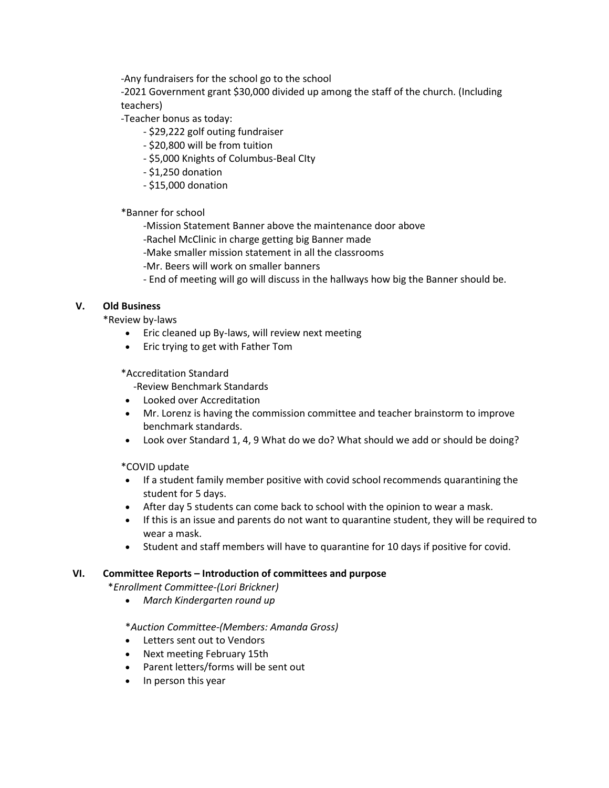-Any fundraisers for the school go to the school

-2021 Government grant \$30,000 divided up among the staff of the church. (Including teachers)

-Teacher bonus as today:

- \$29,222 golf outing fundraiser
- \$20,800 will be from tuition
- \$5,000 Knights of Columbus-Beal CIty
- \$1,250 donation
- \$15,000 donation

\*Banner for school

-Mission Statement Banner above the maintenance door above

- -Rachel McClinic in charge getting big Banner made
- -Make smaller mission statement in all the classrooms
- -Mr. Beers will work on smaller banners
- End of meeting will go will discuss in the hallways how big the Banner should be.

# **V. Old Business**

\*Review by-laws

- Eric cleaned up By-laws, will review next meeting
- Eric trying to get with Father Tom

## \*Accreditation Standard

-Review Benchmark Standards

- Looked over Accreditation
- Mr. Lorenz is having the commission committee and teacher brainstorm to improve benchmark standards.
- Look over Standard 1, 4, 9 What do we do? What should we add or should be doing?

\*COVID update

- If a student family member positive with covid school recommends quarantining the student for 5 days.
- After day 5 students can come back to school with the opinion to wear a mask.
- If this is an issue and parents do not want to quarantine student, they will be required to wear a mask.
- Student and staff members will have to quarantine for 10 days if positive for covid.

## **VI. Committee Reports – Introduction of committees and purpose**

\**Enrollment Committee-(Lori Brickner)*

*March Kindergarten round up*

## \**Auction Committee-(Members: Amanda Gross)*

- Letters sent out to Vendors
- Next meeting February 15th
- Parent letters/forms will be sent out
- $\bullet$  In person this year